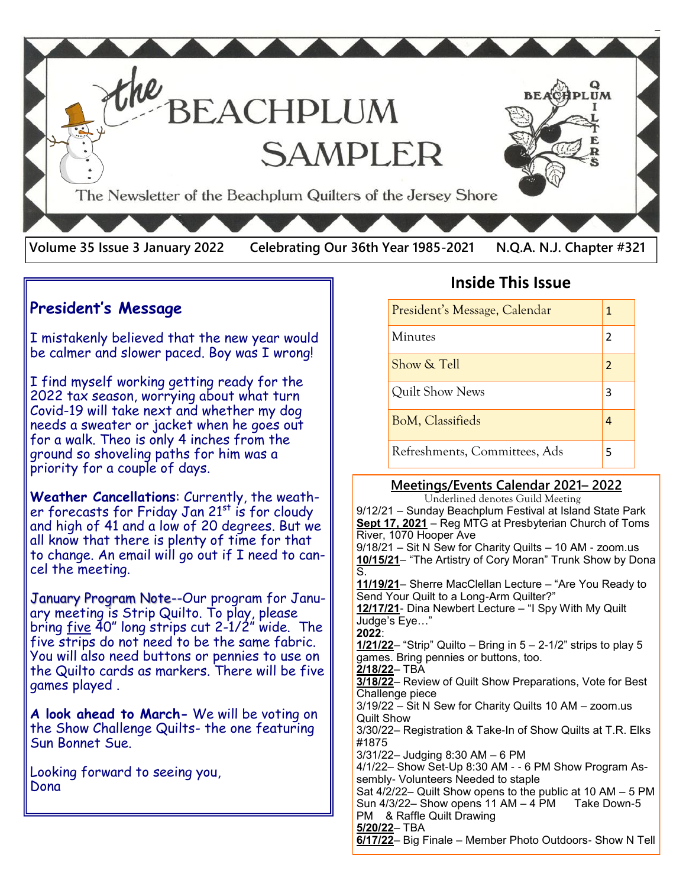

### **President's Message**

I mistakenly believed that the new year would be calmer and slower paced. Boy was I wrong!

I find myself working getting ready for the 2022 tax season, worrying about what turn Covid-19 will take next and whether my dog needs a sweater or jacket when he goes out for a walk. Theo is only 4 inches from the ground so shoveling paths for him was a priority for a couple of days.

**Weather Cancellations**: Currently, the weather forecasts for Friday Jan  $21^{st}$  is for cloudy and high of 41 and a low of 20 degrees. But we all know that there is plenty of time for that to change. An email will go out if I need to cancel the meeting.

January Program Note--Our program for January meeting is Strip Quilto. To play, please bring  $five$  40" long strips cut  $2-1/2$ " wide. The five strips do not need to be the same fabric. You will also need buttons or pennies to use on the Quilto cards as markers. There will be five games played .

**A look ahead to March-** We will be voting on the Show Challenge Quilts- the one featuring Sun Bonnet Sue.

Looking forward to seeing you, Dona

## **Inside This Issue**

| President's Message, Calendar |  |
|-------------------------------|--|
| <b>Minutes</b>                |  |
| Show & Tell                   |  |
| Quilt Show News               |  |
| BoM, Classifieds              |  |
| Refreshments, Committees, Ads |  |

#### **Meetings/Events Calendar 2021– 2022**

Underlined denotes Guild Meeting

9/12/21 – Sunday Beachplum Festival at Island State Park **Sept 17, 2021** – Reg MTG at Presbyterian Church of Toms River, 1070 Hooper Ave 9/18/21 – Sit N Sew for Charity Quilts – 10 AM - zoom.us **10/15/21**– "The Artistry of Cory Moran" Trunk Show by Dona S. **11/19/21**– Sherre MacClellan Lecture – "Are You Ready to Send Your Quilt to a Long-Arm Quilter?" **12/17/21**- Dina Newbert Lecture – "I Spy With My Quilt Judge's Eye…" **2022**: **1/21/22**– "Strip" Quilto – Bring in 5 – 2-1/2" strips to play 5 games. Bring pennies or buttons, too. **2/18/22**– TBA **3/18/22**– Review of Quilt Show Preparations, Vote for Best Challenge piece 3/19/22 – Sit N Sew for Charity Quilts 10 AM – zoom.us Quilt Show 3/30/22– Registration & Take-In of Show Quilts at T.R. Elks #1875 3/31/22– Judging 8:30 AM – 6 PM 4/1/22– Show Set-Up 8:30 AM - - 6 PM Show Program Assembly- Volunteers Needed to staple Sat 4/2/22– Quilt Show opens to the public at 10 AM – 5 PM Sun  $4/3/22-$  Show opens 11 AM  $-4$  PM Take Down-5 PM & Raffle Quilt Drawing **5/20/22**– TBA **6/17/22**– Big Finale – Member Photo Outdoors- Show N Tell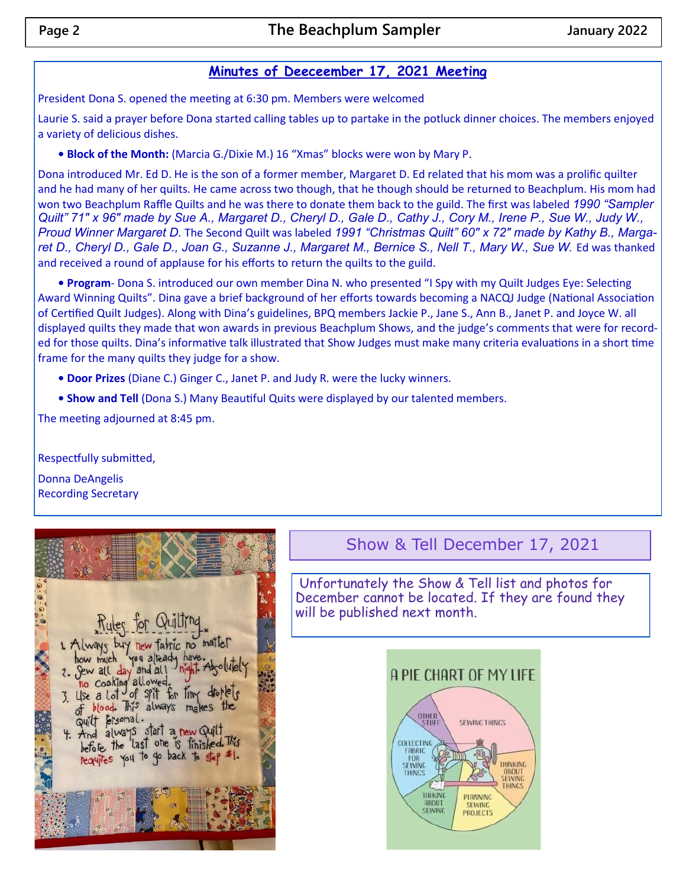#### **Minutes of Deeceember 17, 2021 Meeting**

President Dona S. opened the meeting at 6:30 pm. Members were welcomed

Laurie S. said a prayer before Dona started calling tables up to partake in the potluck dinner choices. The members enjoyed a variety of delicious dishes.

**• Block of the Month:** (Marcia G./Dixie M.) 16 "Xmas" blocks were won by Mary P.

Dona introduced Mr. Ed D. He is the son of a former member, Margaret D. Ed related that his mom was a prolific quilter and he had many of her quilts. He came across two though, that he though should be returned to Beachplum. His mom had won two Beachplum Raffle Quilts and he was there to donate them back to the guild. The first was labeled *1990 "Sampler Quilt" 71" x 96" made by Sue A., Margaret D., Cheryl D., Gale D., Cathy J., Cory M., Irene P., Sue W., Judy W., Proud Winner Margaret D.* The Second Quilt was labeled *1991 "Christmas Quilt" 60" x 72" made by Kathy B., Marga*ret D., Cheryl D., Gale D., Joan G., Suzanne J., Margaret M., Bernice S., Nell T., Mary W., Sue W. Ed was thanked and received a round of applause for his efforts to return the quilts to the guild.

**• Program**- Dona S. introduced our own member Dina N. who presented "I Spy with my Quilt Judges Eye: Selecting Award Winning Quilts". Dina gave a brief background of her efforts towards becoming a NACQJ Judge (National Association of Certified Quilt Judges). Along with Dina's guidelines, BPQ members Jackie P., Jane S., Ann B., Janet P. and Joyce W. all displayed quilts they made that won awards in previous Beachplum Shows, and the judge's comments that were for recorded for those quilts. Dina's informative talk illustrated that Show Judges must make many criteria evaluations in a short time frame for the many quilts they judge for a show.

**• Door Prizes** (Diane C.) Ginger C., Janet P. and Judy R. were the lucky winners.

**• Show and Tell** (Dona S.) Many Beautiful Quits were displayed by our talented members.

The meeting adjourned at 8:45 pm.

Respectfully submitted,

Donna DeAngelis Recording Secretary



# Show & Tell December 17, 2021

Unfortunately the Show & Tell list and photos for December cannot be located. If they are found they will be published next month.

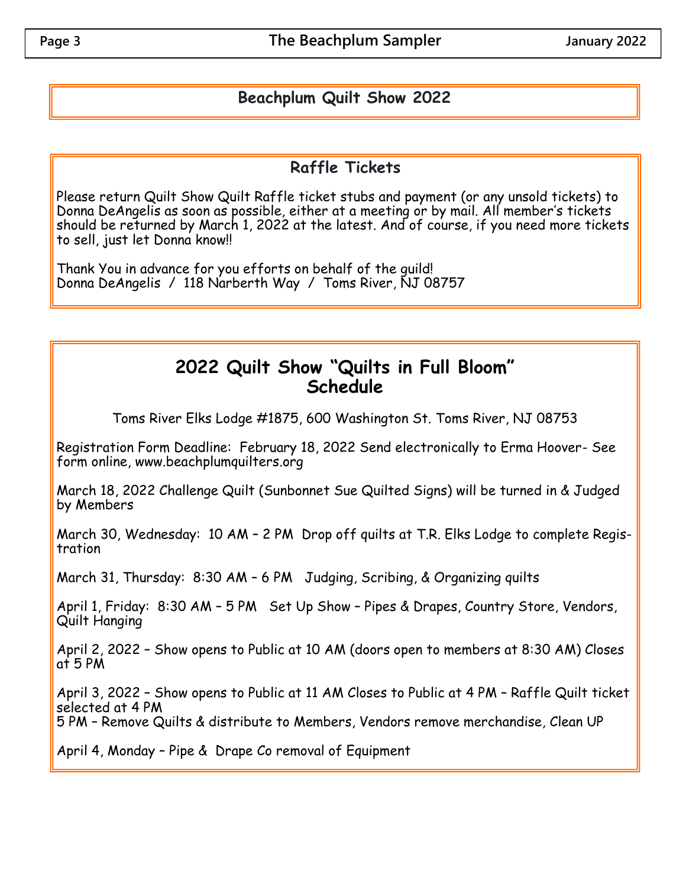## **Beachplum Quilt Show 2022**

## **Raffle Tickets**

Please return Quilt Show Quilt Raffle ticket stubs and payment (or any unsold tickets) to Donna DeAngelis as soon as possible, either at a meeting or by mail. All member's tickets should be returned by March 1, 2022 at the latest. And of course, if you need more tickets to sell, just let Donna know!!

Thank You in advance for you efforts on behalf of the guild! Donna DeAngelis / 118 Narberth Way / Toms River, NJ 08757

# **2022 Quilt Show "Quilts in Full Bloom" Schedule**

Toms River Elks Lodge #1875, 600 Washington St. Toms River, NJ 08753

Registration Form Deadline: February 18, 2022 Send electronically to Erma Hoover- See form online, www.beachplumquilters.org

March 18, 2022 Challenge Quilt (Sunbonnet Sue Quilted Signs) will be turned in & Judged by Members

March 30, Wednesday: 10 AM – 2 PM Drop off quilts at T.R. Elks Lodge to complete Registration

March 31, Thursday: 8:30 AM – 6 PM Judging, Scribing, & Organizing quilts

April 1, Friday: 8:30 AM - 5 PM Set Up Show - Pipes & Drapes, Country Store, Vendors, Quilt Hanging

April 2, 2022 – Show opens to Public at 10 AM (doors open to members at 8:30 AM) Closes at 5 PM

April 3, 2022 – Show opens to Public at 11 AM Closes to Public at 4 PM – Raffle Quilt ticket selected at 4 PM

5 PM – Remove Quilts & distribute to Members, Vendors remove merchandise, Clean UP

April 4, Monday – Pipe & Drape Co removal of Equipment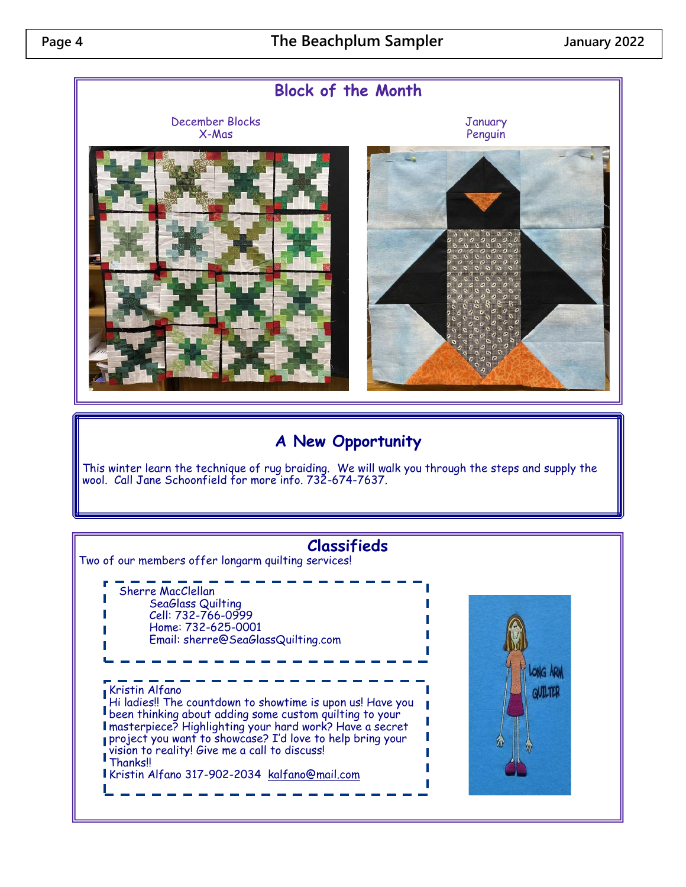